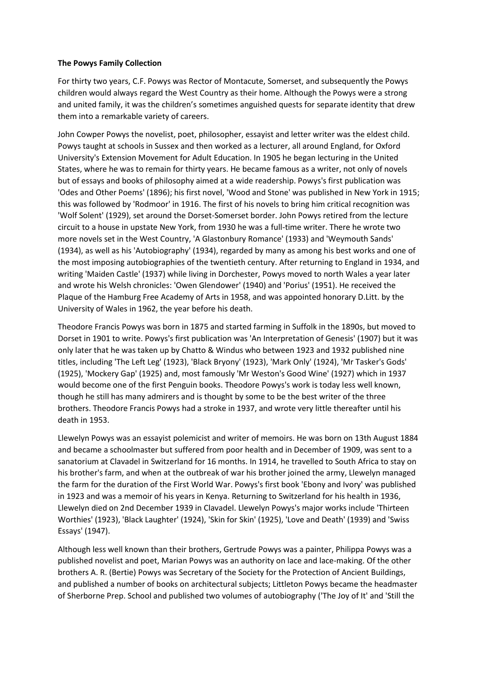## **The Powys Family Collection**

For thirty two years, C.F. Powys was Rector of Montacute, Somerset, and subsequently the Powys children would always regard the West Country as their home. Although the Powys were a strong and united family, it was the children's sometimes anguished quests for separate identity that drew them into a remarkable variety of careers.

John Cowper Powys the novelist, poet, philosopher, essayist and letter writer was the eldest child. Powys taught at schools in Sussex and then worked as a lecturer, all around England, for Oxford University's Extension Movement for Adult Education. In 1905 he began lecturing in the United States, where he was to remain for thirty years. He became famous as a writer, not only of novels but of essays and books of philosophy aimed at a wide readership. Powys's first publication was 'Odes and Other Poems' (1896); his first novel, 'Wood and Stone' was published in New York in 1915; this was followed by 'Rodmoor' in 1916. The first of his novels to bring him critical recognition was 'Wolf Solent' (1929), set around the Dorset-Somerset border. John Powys retired from the lecture circuit to a house in upstate New York, from 1930 he was a full-time writer. There he wrote two more novels set in the West Country, 'A Glastonbury Romance' (1933) and 'Weymouth Sands' (1934), as well as his 'Autobiography' (1934), regarded by many as among his best works and one of the most imposing autobiographies of the twentieth century. After returning to England in 1934, and writing 'Maiden Castle' (1937) while living in Dorchester, Powys moved to north Wales a year later and wrote his Welsh chronicles: 'Owen Glendower' (1940) and 'Porius' (1951). He received the Plaque of the Hamburg Free Academy of Arts in 1958, and was appointed honorary D.Litt. by the University of Wales in 1962, the year before his death.

Theodore Francis Powys was born in 1875 and started farming in Suffolk in the 1890s, but moved to Dorset in 1901 to write. Powys's first publication was 'An Interpretation of Genesis' (1907) but it was only later that he was taken up by Chatto & Windus who between 1923 and 1932 published nine titles, including 'The Left Leg' (1923), 'Black Bryony' (1923), 'Mark Only' (1924), 'Mr Tasker's Gods' (1925), 'Mockery Gap' (1925) and, most famously 'Mr Weston's Good Wine' (1927) which in 1937 would become one of the first Penguin books. Theodore Powys's work is today less well known, though he still has many admirers and is thought by some to be the best writer of the three brothers. Theodore Francis Powys had a stroke in 1937, and wrote very little thereafter until his death in 1953.

Llewelyn Powys was an essayist polemicist and writer of memoirs. He was born on 13th August 1884 and became a schoolmaster but suffered from poor health and in December of 1909, was sent to a sanatorium at Clavadel in Switzerland for 16 months. In 1914, he travelled to South Africa to stay on his brother's farm, and when at the outbreak of war his brother joined the army, Llewelyn managed the farm for the duration of the First World War. Powys's first book 'Ebony and Ivory' was published in 1923 and was a memoir of his years in Kenya. Returning to Switzerland for his health in 1936, Llewelyn died on 2nd December 1939 in Clavadel. Llewelyn Powys's major works include 'Thirteen Worthies' (1923), 'Black Laughter' (1924), 'Skin for Skin' (1925), 'Love and Death' (1939) and 'Swiss Essays' (1947).

Although less well known than their brothers, Gertrude Powys was a painter, Philippa Powys was a published novelist and poet, Marian Powys was an authority on lace and lace-making. Of the other brothers A. R. (Bertie) Powys was Secretary of the Society for the Protection of Ancient Buildings, and published a number of books on architectural subjects; Littleton Powys became the headmaster of Sherborne Prep. School and published two volumes of autobiography ('The Joy of It' and 'Still the